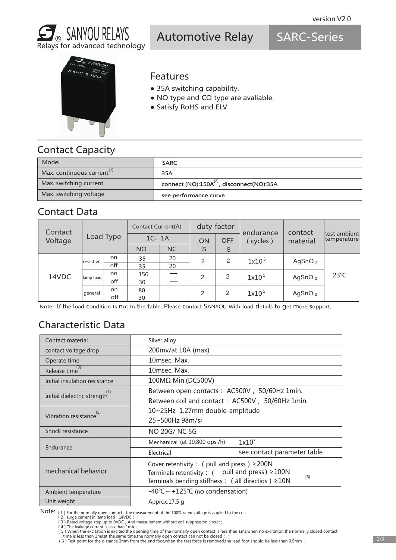

Automotive Relay

SARC-Series



#### Features

- 35A switching capability.
- NO type and CO type are avaliable.
- Satisfy RoHS and ELV

## Contact Capacity

| Model                    | <b>SARC</b>                                           |
|--------------------------|-------------------------------------------------------|
| Max. continuous current" | 35A                                                   |
| Max. switching current   | connect (NO):150A <sup>(2)</sup> , disconnect(NO):35A |
| Max. switching voltage   | see performance curve                                 |

#### Contact Data

| Contact | Load Type |     | Contact Current(A) |           | duty factor    |                | endurance         | contact    |                             |
|---------|-----------|-----|--------------------|-----------|----------------|----------------|-------------------|------------|-----------------------------|
| Voltage |           |     | 1C. 1A             |           | ON             | <b>OFF</b>     | cycles)           | material   | test ambient<br>temperature |
|         |           |     | <b>NO</b>          | <b>NC</b> | S              | S              |                   |            |                             |
|         | resistive | on  | 35                 | 20        | $\overline{2}$ | 2              | 1x10 <sup>5</sup> | AgSnO $_2$ | $23^{\circ}$ C              |
|         |           | off | 35                 | 20        |                |                |                   |            |                             |
| 14VDC   | lamp load | on  | 150                |           | 2              | 2              | 1x10 <sup>5</sup> | AgSnO $_2$ |                             |
|         |           | off | 30                 |           |                |                |                   |            |                             |
|         | general   | on  | 80                 |           | 2              | $\overline{2}$ | 1x10 <sup>5</sup> | AgSnO $_2$ |                             |
|         |           | off | 30                 |           |                |                |                   |            |                             |

Note: If the load condition is not in the table. Please contact SANYOU with load details to get more support.

## Characteristic Data

| Contact material                           | Silver alloy                                                      |                             |  |  |  |
|--------------------------------------------|-------------------------------------------------------------------|-----------------------------|--|--|--|
| contact voltage drop                       | 200mv/at 10A (max)                                                |                             |  |  |  |
| Operate time                               | 10msec. Max.                                                      |                             |  |  |  |
| Release time <sup>(3)</sup>                | 10msec. Max.                                                      |                             |  |  |  |
| Initial insulation resistance              | 100MΩ Min.(DC500V)                                                |                             |  |  |  |
| Initial dielectric strength <sup>(4)</sup> | Between open contacts: AC500V, 50/60Hz 1min.                      |                             |  |  |  |
|                                            | Between coil and contact: AC500V, 50/60Hz 1min.                   |                             |  |  |  |
| Vibration resistance <sup>(5)</sup>        | 10~25Hz 1.27mm double-amplitude                                   |                             |  |  |  |
|                                            | 25~500Hz 98m/s <sup>2</sup>                                       |                             |  |  |  |
| Shock resistance                           | NO 20G/NC 5G                                                      |                             |  |  |  |
|                                            | Mechanical (at 10,800 ops./h)                                     | $1x10^7$                    |  |  |  |
| Endurance                                  | Electrical                                                        | see contact parameter table |  |  |  |
|                                            | Cover retentivity : ( pull and press ) $\geq$ 200N                |                             |  |  |  |
| mechanical behavior                        | Terminals retentivity : $($ pull and press) $\geq 100N$           |                             |  |  |  |
|                                            | (6)<br>Terminals bending stiffness : ( all directios ) $\geq$ 10N |                             |  |  |  |
| Ambient temperature                        | -40°C $\sim$ +125°C (no condensation)                             |                             |  |  |  |
| Unit weight                                | Approx.17.5 g                                                     |                             |  |  |  |

Note: (1) For the normally open contact, the measurement of the 100% rated voltage is applied to the coil (2) surge current in lamp load, 14VDC;

- 
- 

<sup>(3)</sup> Rated voltage step up to 0VDC , And measurement without coil suppression circuit ;<br>(4) The leakage current is less than 1mA ;<br>(5) When the excitation is excited,the opening time of the normally open contact is less tha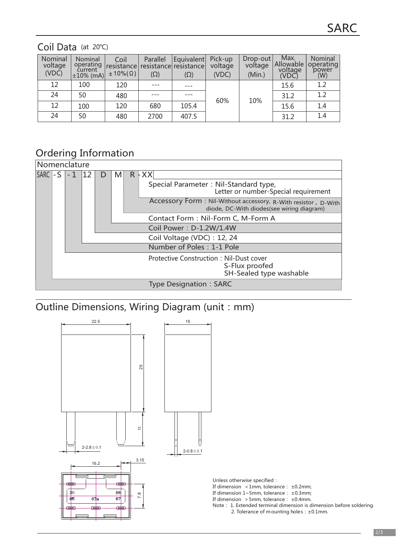#### Coil Data (at 20℃)

| Nominal<br>voltage<br>(VDC) | Nominal<br>operating<br>current<br>$\pm 10\%$ (mA) | Coil<br>resistance<br>$\pm 10\%$ $(\Omega)$ | Parallel<br>$(\Omega)$ | Equivalent<br>resistance resistance<br>$(\Omega)$ | Pick-up<br>voltage<br>(VDC) | $Drop-out$<br>voltage<br>(Min.) | Max.<br>Allowable<br>voltage<br>(VDC) | Nominal<br>operating<br>power<br>(W) |
|-----------------------------|----------------------------------------------------|---------------------------------------------|------------------------|---------------------------------------------------|-----------------------------|---------------------------------|---------------------------------------|--------------------------------------|
| 12                          | 100                                                | 120                                         |                        |                                                   |                             |                                 | 15.6                                  | 1.2                                  |
| 24                          | 50                                                 | 480                                         |                        |                                                   | 60%                         | 10%                             | 31.2                                  | 1.2                                  |
| 12                          | 100                                                | 120                                         | 680                    | 105.4                                             |                             |                                 | 15.6                                  | 1.4                                  |
| 24                          | 50                                                 | 480                                         | 2700                   | 407.5                                             |                             |                                 | 31.2                                  | 1.4                                  |

## Ordering Information

| Nomenclature |  |  |  |  |   |  |                                                                                                             |
|--------------|--|--|--|--|---|--|-------------------------------------------------------------------------------------------------------------|
| $SARC$ $-S$  |  |  |  |  | M |  | $R$ + XX                                                                                                    |
|              |  |  |  |  |   |  | Special Parameter: Nil-Standard type,<br>Letter or number-Special requirement                               |
|              |  |  |  |  |   |  | Accessory Form: Nil-Without accessory, R-With resistor, D-With<br>diode, DC-With diodes(see wiring diagram) |
|              |  |  |  |  |   |  | Contact Form: Nil-Form C, M-Form A                                                                          |
|              |  |  |  |  |   |  | Coil Power: D-1.2W/1.4W                                                                                     |
|              |  |  |  |  |   |  | Coil Voltage (VDC): 12, 24                                                                                  |
|              |  |  |  |  |   |  | Number of Poles: 1-1 Pole                                                                                   |
|              |  |  |  |  |   |  | <b>Protective Construction: Nil-Dust cover</b><br>S-Flux proofed<br>SH-Sealed type washable                 |
|              |  |  |  |  |   |  | <b>Type Designation: SARC</b>                                                                               |

# Outline Dimensions, Wiring Diagram (unit: mm)